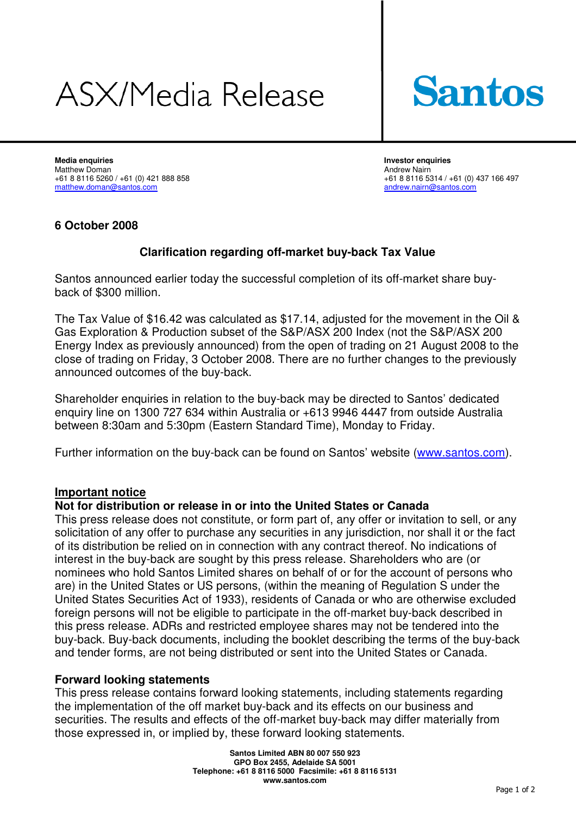# ASX/Media Release



**Media enquiries Investor enquiries**  Matthew Doman Andrew Nairn matthew.doman@santos.com

+61 8 8116 5260 / +61 (0) 421 888 858 +61 8 8116 5314 / +61 (0) 437 166 497<br>
matthew.doman@santos.com<br>
andrew.nairn@santos.com

### **6 October 2008**

## **Clarification regarding off-market buy-back Tax Value**

Santos announced earlier today the successful completion of its off-market share buyback of \$300 million.

The Tax Value of \$16.42 was calculated as \$17.14, adjusted for the movement in the Oil & Gas Exploration & Production subset of the S&P/ASX 200 Index (not the S&P/ASX 200 Energy Index as previously announced) from the open of trading on 21 August 2008 to the close of trading on Friday, 3 October 2008. There are no further changes to the previously announced outcomes of the buy-back.

Shareholder enquiries in relation to the buy-back may be directed to Santos' dedicated enquiry line on 1300 727 634 within Australia or +613 9946 4447 from outside Australia between 8:30am and 5:30pm (Eastern Standard Time), Monday to Friday.

Further information on the buy-back can be found on Santos' website (www.santos.com).

### **Important notice**

#### **Not for distribution or release in or into the United States or Canada**

This press release does not constitute, or form part of, any offer or invitation to sell, or any solicitation of any offer to purchase any securities in any jurisdiction, nor shall it or the fact of its distribution be relied on in connection with any contract thereof. No indications of interest in the buy-back are sought by this press release. Shareholders who are (or nominees who hold Santos Limited shares on behalf of or for the account of persons who are) in the United States or US persons, (within the meaning of Regulation S under the United States Securities Act of 1933), residents of Canada or who are otherwise excluded foreign persons will not be eligible to participate in the off-market buy-back described in this press release. ADRs and restricted employee shares may not be tendered into the buy-back. Buy-back documents, including the booklet describing the terms of the buy-back and tender forms, are not being distributed or sent into the United States or Canada.

#### **Forward looking statements**

This press release contains forward looking statements, including statements regarding the implementation of the off market buy-back and its effects on our business and securities. The results and effects of the off-market buy-back may differ materially from those expressed in, or implied by, these forward looking statements.

> **Santos Limited ABN 80 007 550 923 GPO Box 2455, Adelaide SA 5001 Telephone: +61 8 8116 5000 Facsimile: +61 8 8116 5131 www.santos.com**